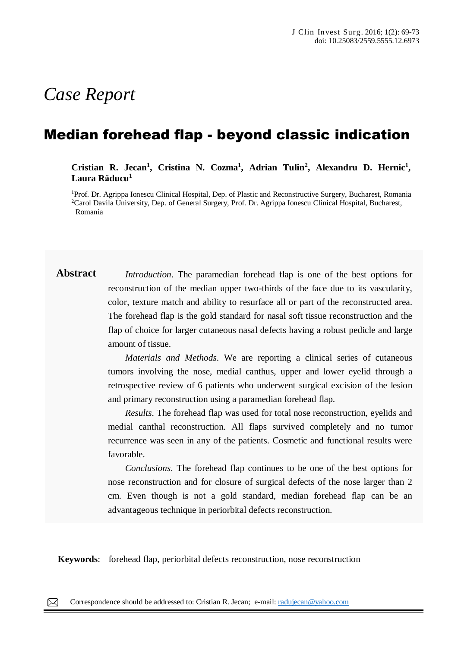# *Case Report*

# Median forehead flap - beyond classic indication

**Cristian R. Jecan<sup>1</sup> , Cristina N. Cozma<sup>1</sup> , Adrian Tulin<sup>2</sup> , Alexandru D. Hernic<sup>1</sup> , Laura Răducu<sup>1</sup>**

<sup>1</sup>Prof. Dr. Agrippa Ionescu Clinical Hospital, Dep. of Plastic and Reconstructive Surgery, Bucharest, Romania <sup>2</sup>Carol Davila University, Dep. of General Surgery, Prof. Dr. Agrippa Ionescu Clinical Hospital, Bucharest, Romania

**Abstract** *Introduction*. The paramedian forehead flap is one of the best options for reconstruction of the median upper two-thirds of the face due to its vascularity, color, texture match and ability to resurface all or part of the reconstructed area. The forehead flap is the gold standard for nasal soft tissue reconstruction and the flap of choice for larger cutaneous nasal defects having a robust pedicle and large amount of tissue.

> *Materials and Methods*. We are reporting a clinical series of cutaneous tumors involving the nose, medial canthus, upper and lower eyelid through a retrospective review of 6 patients who underwent surgical excision of the lesion and primary reconstruction using a paramedian forehead flap.

> *Results*. The forehead flap was used for total nose reconstruction, eyelids and medial canthal reconstruction. All flaps survived completely and no tumor recurrence was seen in any of the patients. Cosmetic and functional results were favorable.

> *Conclusions*. The forehead flap continues to be one of the best options for nose reconstruction and for closure of surgical defects of the nose larger than 2 cm. Even though is not a gold standard, median forehead flap can be an advantageous technique in periorbital defects reconstruction.

papules, pustules, nodules and sometimes hematic or meliceric crusts, located on the face, trunk, neck, arms

**Keywords**: forehead flap, periorbital defects reconstruction, nose reconstruction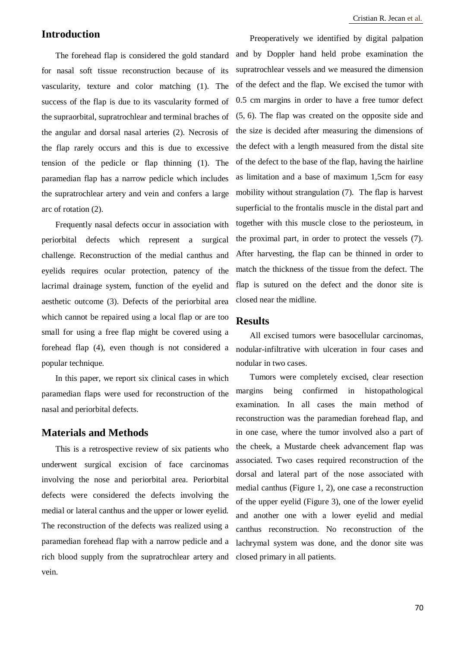# **Introduction**

The forehead flap is considered the gold standard for nasal soft tissue reconstruction because of its vascularity, texture and color matching (1). The success of the flap is due to its vascularity formed of the supraorbital, supratrochlear and terminal braches of the angular and dorsal nasal arteries (2). Necrosis of the flap rarely occurs and this is due to excessive tension of the pedicle or flap thinning (1). The paramedian flap has a narrow pedicle which includes the supratrochlear artery and vein and confers a large arc of rotation (2).

Frequently nasal defects occur in association with periorbital defects which represent a surgical challenge. Reconstruction of the medial canthus and eyelids requires ocular protection, patency of the lacrimal drainage system, function of the eyelid and aesthetic outcome (3). Defects of the periorbital area which cannot be repaired using a local flap or are too small for using a free flap might be covered using a forehead flap (4), even though is not considered a popular technique.

In this paper, we report six clinical cases in which paramedian flaps were used for reconstruction of the nasal and periorbital defects.

### **Materials and Methods**

This is a retrospective review of six patients who underwent surgical excision of face carcinomas involving the nose and periorbital area. Periorbital defects were considered the defects involving the medial or lateral canthus and the upper or lower eyelid. The reconstruction of the defects was realized using a paramedian forehead flap with a narrow pedicle and a rich blood supply from the supratrochlear artery and vein.

Preoperatively we identified by digital palpation and by Doppler hand held probe examination the supratrochlear vessels and we measured the dimension of the defect and the flap. We excised the tumor with 0.5 cm margins in order to have a free tumor defect  $(5, 6)$ . The flap was created on the opposite side and the size is decided after measuring the dimensions of the defect with a length measured from the distal site of the defect to the base of the flap, having the hairline as limitation and a base of maximum 1,5cm for easy mobility without strangulation (7). The flap is harvest superficial to the frontalis muscle in the distal part and together with this muscle close to the periosteum, in the proximal part, in order to protect the vessels (7). After harvesting, the flap can be thinned in order to match the thickness of the tissue from the defect. The flap is sutured on the defect and the donor site is closed near the midline.

#### **Results**

All excised tumors were basocellular carcinomas, nodular-infiltrative with ulceration in four cases and nodular in two cases.

Tumors were completely excised, clear resection margins being confirmed in histopathological examination. In all cases the main method of reconstruction was the paramedian forehead flap, and in one case, where the tumor involved also a part of the cheek, a Mustarde cheek advancement flap was associated. Two cases required reconstruction of the dorsal and lateral part of the nose associated with medial canthus (Figure 1, 2), one case a reconstruction of the upper eyelid (Figure 3), one of the lower eyelid and another one with a lower eyelid and medial canthus reconstruction. No reconstruction of the lachrymal system was done, and the donor site was closed primary in all patients.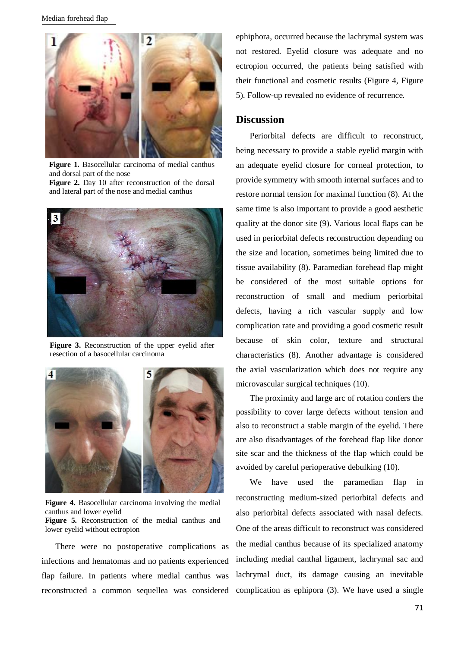

**Figure 1.** Basocellular carcinoma of medial canthus and dorsal part of the nose

**Figure 2.** Day 10 after reconstruction of the dorsal and lateral part of the nose and medial canthus



**Figure 3.** Reconstruction of the upper eyelid after resection of a basocellular carcinoma



**Figure 4.** Basocellular carcinoma involving the medial canthus and lower eyelid **Figure 5.** Reconstruction of the medial canthus and lower eyelid without ectropion

There were no postoperative complications as infections and hematomas and no patients experienced flap failure. In patients where medial canthus was reconstructed a common sequellea was considered ephiphora, occurred because the lachrymal system was not restored. Eyelid closure was adequate and no ectropion occurred, the patients being satisfied with their functional and cosmetic results (Figure 4, Figure 5). Follow-up revealed no evidence of recurrence.

#### **Discussion**

Periorbital defects are difficult to reconstruct, being necessary to provide a stable eyelid margin with an adequate eyelid closure for corneal protection, to provide symmetry with smooth internal surfaces and to restore normal tension for maximal function (8). At the same time is also important to provide a good aesthetic quality at the donor site (9). Various local flaps can be used in periorbital defects reconstruction depending on the size and location, sometimes being limited due to tissue availability (8). Paramedian forehead flap might be considered of the most suitable options for reconstruction of small and medium periorbital defects, having a rich vascular supply and low complication rate and providing a good cosmetic result because of skin color, texture and structural characteristics (8). Another advantage is considered the axial vascularization which does not require any microvascular surgical techniques (10).

The proximity and large arc of rotation confers the possibility to cover large defects without tension and also to reconstruct a stable margin of the eyelid. There are also disadvantages of the forehead flap like donor site scar and the thickness of the flap which could be avoided by careful perioperative debulking (10).

We have used the paramedian flap in reconstructing medium-sized periorbital defects and also periorbital defects associated with nasal defects. One of the areas difficult to reconstruct was considered the medial canthus because of its specialized anatomy including medial canthal ligament, lachrymal sac and lachrymal duct, its damage causing an inevitable complication as ephipora (3). We have used a single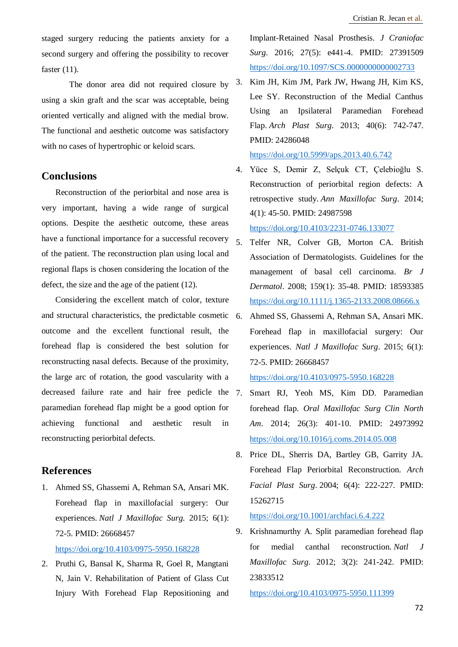staged surgery reducing the patients anxiety for a second surgery and offering the possibility to recover faster (11).

The donor area did not required closure by using a skin graft and the scar was acceptable, being oriented vertically and aligned with the medial brow. The functional and aesthetic outcome was satisfactory with no cases of hypertrophic or keloid scars.

#### **Conclusions**

Reconstruction of the periorbital and nose area is very important, having a wide range of surgical options. Despite the aesthetic outcome, these areas have a functional importance for a successful recovery of the patient. The reconstruction plan using local and regional flaps is chosen considering the location of the defect, the size and the age of the patient (12).

Considering the excellent match of color, texture and structural characteristics, the predictable cosmetic outcome and the excellent functional result, the forehead flap is considered the best solution for reconstructing nasal defects. Because of the proximity, the large arc of rotation, the good vascularity with a decreased failure rate and hair free pedicle the 7. paramedian forehead flap might be a good option for achieving functional and aesthetic result in reconstructing periorbital defects.

# **References**

- 1. Ahmed SS, Ghassemi A, Rehman SA, Ansari MK. Forehead flap in maxillofacial surgery: Our experiences. *Natl J Maxillofac Surg*. 2015; 6(1): 72-5. PMID: 26668457 <https://doi.org/10.4103/0975-5950.168228>
- 2. Pruthi G, Bansal K, Sharma R, Goel R, Mangtani N, Jain V. Rehabilitation of Patient of Glass Cut Injury With Forehead Flap Repositioning and

Implant-Retained Nasal Prosthesis. *J Craniofac Surg*. 2016; 27(5): e441-4. PMID: 27391509 <https://doi.org/10.1097/SCS.0000000000002733>

3. Kim JH, Kim JM, Park JW, Hwang JH, Kim KS, Lee SY. Reconstruction of the Medial Canthus Using an Ipsilateral Paramedian Forehead Flap. *Arch Plast Surg*. 2013; 40(6): 742-747. PMID: 24286048

<https://doi.org/10.5999/aps.2013.40.6.742>

4. Yüce S, Demir Z, Selçuk CT, Çelebioğlu S. Reconstruction of periorbital region defects: A retrospective study. *Ann Maxillofac Surg*. 2014; 4(1): 45-50. PMID: 24987598

#### <https://doi.org/10.4103/2231-0746.133077>

- 5. Telfer NR, Colver GB, Morton CA. British Association of Dermatologists. Guidelines for the management of basal cell carcinoma. *Br J Dermatol*. 2008; 159(1): 35-48. PMID: 18593385 <https://doi.org/10.1111/j.1365-2133.2008.08666.x>
- 6. Ahmed SS, Ghassemi A, Rehman SA, Ansari MK. Forehead flap in maxillofacial surgery: Our experiences. *Natl J Maxillofac Surg*. 2015; 6(1): 72-5. PMID: 26668457 <https://doi.org/10.4103/0975-5950.168228>
- 7. Smart RJ, Yeoh MS, Kim DD. Paramedian forehead flap. *Oral Maxillofac Surg Clin North Am*. 2014; 26(3): 401-10. PMID: 24973992 <https://doi.org/10.1016/j.coms.2014.05.008>
- 8. Price DL, Sherris DA, Bartley GB, Garrity JA. Forehead Flap Periorbital Reconstruction. *Arch Facial Plast Surg*. 2004; 6(4): 222-227. PMID: 15262715

<https://doi.org/10.1001/archfaci.6.4.222>

9. Krishnamurthy A. Split paramedian forehead flap for medial canthal reconstruction. *Natl J Maxillofac Surg*. 2012; 3(2): 241-242. PMID: 23833512

<https://doi.org/10.4103/0975-5950.111399>